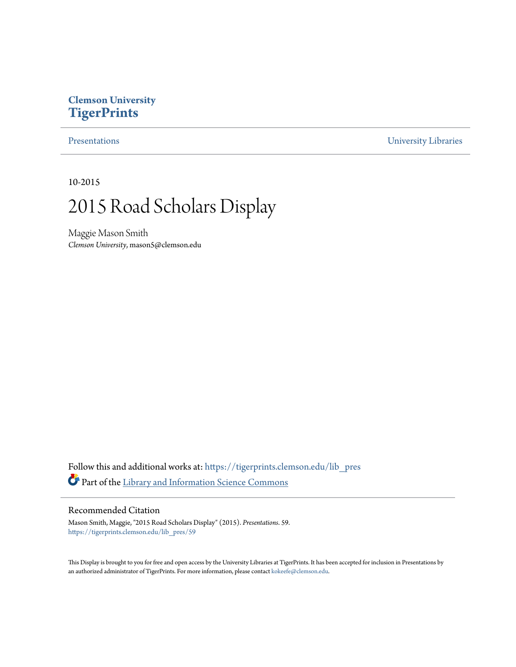#### **Clemson University [TigerPrints](https://tigerprints.clemson.edu?utm_source=tigerprints.clemson.edu%2Flib_pres%2F59&utm_medium=PDF&utm_campaign=PDFCoverPages)**

[Presentations](https://tigerprints.clemson.edu/lib_pres?utm_source=tigerprints.clemson.edu%2Flib_pres%2F59&utm_medium=PDF&utm_campaign=PDFCoverPages) [University Libraries](https://tigerprints.clemson.edu/libraries?utm_source=tigerprints.clemson.edu%2Flib_pres%2F59&utm_medium=PDF&utm_campaign=PDFCoverPages)

10-2015

#### 2015 Road Scholars Display

Maggie Mason Smith *Clemson University*, mason5@clemson.edu

Follow this and additional works at: [https://tigerprints.clemson.edu/lib\\_pres](https://tigerprints.clemson.edu/lib_pres?utm_source=tigerprints.clemson.edu%2Flib_pres%2F59&utm_medium=PDF&utm_campaign=PDFCoverPages) Part of the [Library and Information Science Commons](http://network.bepress.com/hgg/discipline/1018?utm_source=tigerprints.clemson.edu%2Flib_pres%2F59&utm_medium=PDF&utm_campaign=PDFCoverPages)

#### Recommended Citation

Mason Smith, Maggie, "2015 Road Scholars Display" (2015). *Presentations*. 59. [https://tigerprints.clemson.edu/lib\\_pres/59](https://tigerprints.clemson.edu/lib_pres/59?utm_source=tigerprints.clemson.edu%2Flib_pres%2F59&utm_medium=PDF&utm_campaign=PDFCoverPages)

This Display is brought to you for free and open access by the University Libraries at TigerPrints. It has been accepted for inclusion in Presentations by an authorized administrator of TigerPrints. For more information, please contact [kokeefe@clemson.edu.](mailto:kokeefe@clemson.edu)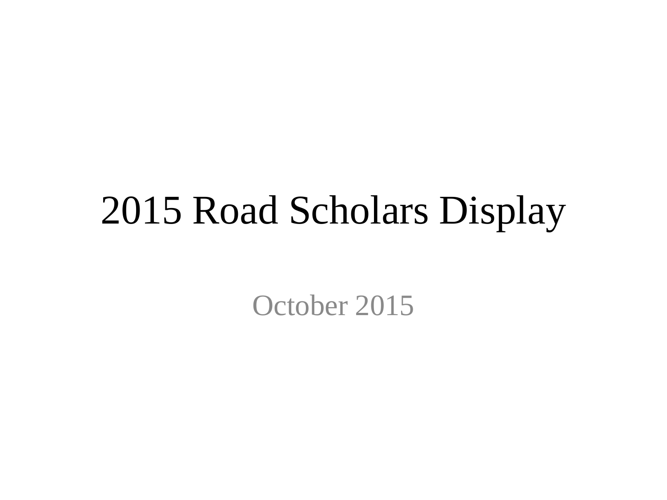#### 2015 Road Scholars Display

October 2015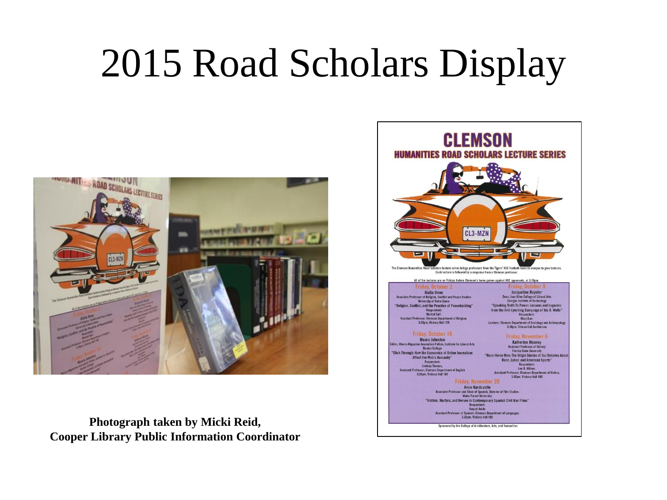# 2015 Road Scholars Display



**Photograph taken by Micki Reid, Cooper Library Public Information Coordinator**

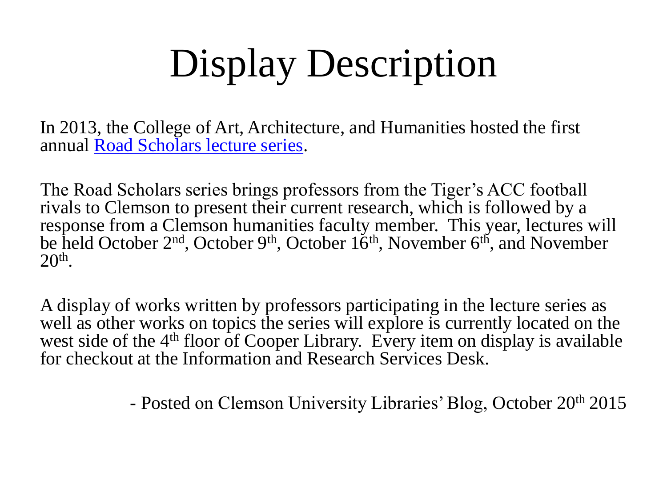# Display Description

In 2013, the College of Art, Architecture, and Humanities hosted the first annual [Road Scholars lecture series](https://www.facebook.com/ClemsonHumanitiesRoadScholars/timeline).

The Road Scholars series brings professors from the Tiger's ACC football rivals to Clemson to present their current research, which is followed by a response from a Clemson humanities faculty member. This year, lectures will be held October  $2<sup>nd</sup>$ , October  $9<sup>th</sup>$ , October  $16<sup>th</sup>$ , November  $6<sup>th</sup>$ , and November 20<sup>th</sup>.

A display of works written by professors participating in the lecture series as well as other works on topics the series will explore is currently located on the west side of the 4<sup>th</sup> floor of Cooper Library. Every item on display is available for checkout at the Information and Research Services Desk.

- Posted on Clemson University Libraries' Blog, October 20th 2015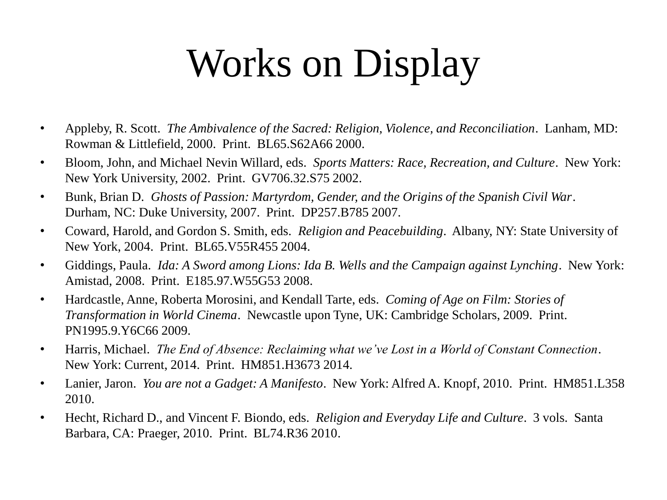# Works on Display

- Appleby, R. Scott. *The Ambivalence of the Sacred: Religion, Violence, and Reconciliation*. Lanham, MD: Rowman & Littlefield, 2000. Print. BL65.S62A66 2000.
- Bloom, John, and Michael Nevin Willard, eds. *Sports Matters: Race, Recreation, and Culture*. New York: New York University, 2002. Print. GV706.32.S75 2002.
- Bunk, Brian D. *Ghosts of Passion: Martyrdom, Gender, and the Origins of the Spanish Civil War*. Durham, NC: Duke University, 2007. Print. DP257.B785 2007.
- Coward, Harold, and Gordon S. Smith, eds. *Religion and Peacebuilding*. Albany, NY: State University of New York, 2004. Print. BL65.V55R455 2004.
- Giddings, Paula. *Ida: A Sword among Lions: Ida B. Wells and the Campaign against Lynching*. New York: Amistad, 2008. Print. E185.97.W55G53 2008.
- Hardcastle, Anne, Roberta Morosini, and Kendall Tarte, eds. *Coming of Age on Film: Stories of Transformation in World Cinema*. Newcastle upon Tyne, UK: Cambridge Scholars, 2009. Print. PN1995.9.Y6C66 2009.
- Harris, Michael. *The End of Absence: Reclaiming what we've Lost in a World of Constant Connection*. New York: Current, 2014. Print. HM851.H3673 2014.
- Lanier, Jaron. *You are not a Gadget: A Manifesto*. New York: Alfred A. Knopf, 2010. Print. HM851.L358 2010.
- Hecht, Richard D., and Vincent F. Biondo, eds. *Religion and Everyday Life and Culture*. 3 vols. Santa Barbara, CA: Praeger, 2010. Print. BL74.R36 2010.